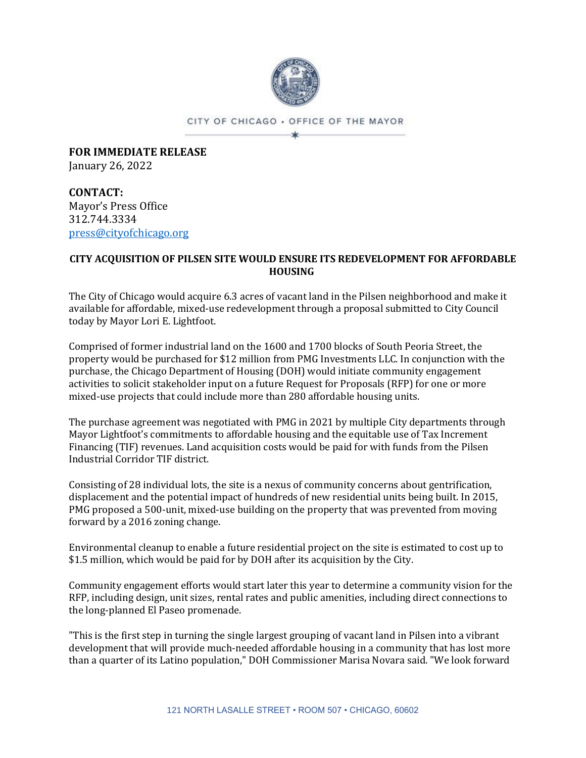

CITY OF CHICAGO . OFFICE OF THE MAYOR ×

**FOR IMMEDIATE RELEASE** January 26, 2022

**CONTACT:** Mayor's Press Office 312.744.3334 [press@cityofchicago.org](mailto:press@cityofchicago.org)

## **CITY ACQUISITION OF PILSEN SITE WOULD ENSURE ITS REDEVELOPMENT FOR AFFORDABLE HOUSING**

The City of Chicago would acquire 6.3 acres of vacant land in the Pilsen neighborhood and make it available for affordable, mixed-use redevelopment through a proposal submitted to City Council today by Mayor Lori E. Lightfoot.

Comprised of former industrial land on the 1600 and 1700 blocks of South Peoria Street, the property would be purchased for \$12 million from PMG Investments LLC. In conjunction with the purchase, the Chicago Department of Housing (DOH) would initiate community engagement activities to solicit stakeholder input on a future Request for Proposals (RFP) for one or more mixed-use projects that could include more than 280 affordable housing units.

The purchase agreement was negotiated with PMG in 2021 by multiple City departments through Mayor Lightfoot's commitments to affordable housing and the equitable use of Tax Increment Financing (TIF) revenues. Land acquisition costs would be paid for with funds from the Pilsen Industrial Corridor TIF district.

Consisting of 28 individual lots, the site is a nexus of community concerns about gentrification, displacement and the potential impact of hundreds of new residential units being built. In 2015, PMG proposed a 500-unit, mixed-use building on the property that was prevented from moving forward by a 2016 zoning change.

Environmental cleanup to enable a future residential project on the site is estimated to cost up to \$1.5 million, which would be paid for by DOH after its acquisition by the City.

Community engagement efforts would start later this year to determine a community vision for the RFP, including design, unit sizes, rental rates and public amenities, including direct connections to the long-planned El Paseo promenade.

"This is the first step in turning the single largest grouping of vacant land in Pilsen into a vibrant development that will provide much-needed affordable housing in a community that has lost more than a quarter of its Latino population," DOH Commissioner Marisa Novara said. "We look forward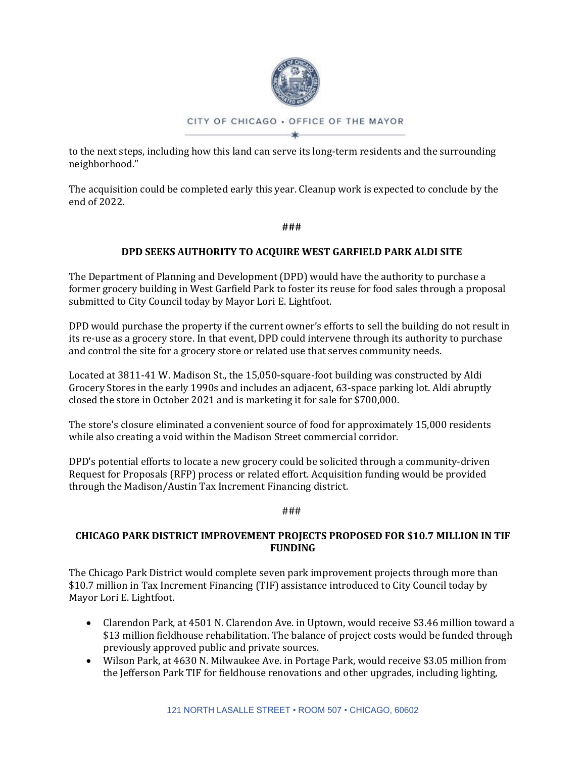

to the next steps, including how this land can serve its long-term residents and the surrounding neighborhood."

The acquisition could be completed early this year. Cleanup work is expected to conclude by the end of 2022.

**###**

# **DPD SEEKS AUTHORITY TO ACQUIRE WEST GARFIELD PARK ALDI SITE**

The Department of Planning and Development (DPD) would have the authority to purchase a former grocery building in West Garfield Park to foster its reuse for food sales through a proposal submitted to City Council today by Mayor Lori E. Lightfoot.

DPD would purchase the property if the current owner's efforts to sell the building do not result in its re-use as a grocery store. In that event, DPD could intervene through its authority to purchase and control the site for a grocery store or related use that serves community needs.

Located at 3811-41 W. Madison St., the 15,050-square-foot building was constructed by Aldi Grocery Stores in the early 1990s and includes an adjacent, 63-space parking lot. Aldi abruptly closed the store in October 2021 and is marketing it for sale for \$700,000.

The store's closure eliminated a convenient source of food for approximately 15,000 residents while also creating a void within the Madison Street commercial corridor.

DPD's potential efforts to locate a new grocery could be solicited through a community-driven Request for Proposals (RFP) process or related effort. Acquisition funding would be provided through the Madison/Austin Tax Increment Financing district.

### ###

# **CHICAGO PARK DISTRICT IMPROVEMENT PROJECTS PROPOSED FOR \$10.7 MILLION IN TIF FUNDING**

The Chicago Park District would complete seven park improvement projects through more than \$10.7 million in Tax Increment Financing (TIF) assistance introduced to City Council today by Mayor Lori E. Lightfoot.

- Clarendon Park, at 4501 N. Clarendon Ave. in Uptown, would receive \$3.46 million toward a \$13 million fieldhouse rehabilitation. The balance of project costs would be funded through previously approved public and private sources.
- Wilson Park, at 4630 N. Milwaukee Ave. in Portage Park, would receive \$3.05 million from the Jefferson Park TIF for fieldhouse renovations and other upgrades, including lighting,